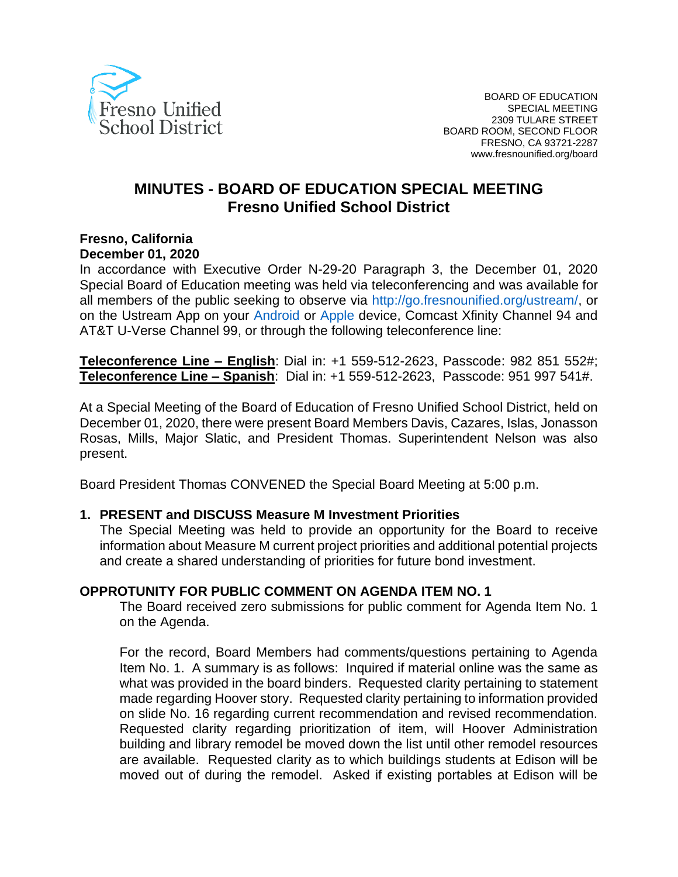

# **MINUTES - BOARD OF EDUCATION SPECIAL MEETING Fresno Unified School District**

#### **Fresno, California December 01, 2020**

In accordance with Executive Order N-29-20 Paragraph 3, the December 01, 2020 Special Board of Education meeting was held via teleconferencing and was available for all members of the public seeking to observe via http://go.fresnounified.org/ustream/, or on the Ustream App on your Android or Apple device, Comcast Xfinity Channel 94 and AT&T U-Verse Channel 99, or through the following teleconference line:

**Teleconference Line – English**: Dial in: +1 559-512-2623, Passcode: 982 851 552#; **Teleconference Line – Spanish**: Dial in: +1 559-512-2623, Passcode: 951 997 541#.

At a Special Meeting of the Board of Education of Fresno Unified School District, held on December 01, 2020, there were present Board Members Davis, Cazares, Islas, Jonasson Rosas, Mills, Major Slatic, and President Thomas. Superintendent Nelson was also present.

Board President Thomas CONVENED the Special Board Meeting at 5:00 p.m.

#### **1. PRESENT and DISCUSS Measure M Investment Priorities**

The Special Meeting was held to provide an opportunity for the Board to receive information about Measure M current project priorities and additional potential projects and create a shared understanding of priorities for future bond investment.

#### **OPPROTUNITY FOR PUBLIC COMMENT ON AGENDA ITEM NO. 1**

The Board received zero submissions for public comment for Agenda Item No. 1 on the Agenda.

For the record, Board Members had comments/questions pertaining to Agenda Item No. 1. A summary is as follows: Inquired if material online was the same as what was provided in the board binders. Requested clarity pertaining to statement made regarding Hoover story. Requested clarity pertaining to information provided on slide No. 16 regarding current recommendation and revised recommendation. Requested clarity regarding prioritization of item, will Hoover Administration building and library remodel be moved down the list until other remodel resources are available. Requested clarity as to which buildings students at Edison will be moved out of during the remodel. Asked if existing portables at Edison will be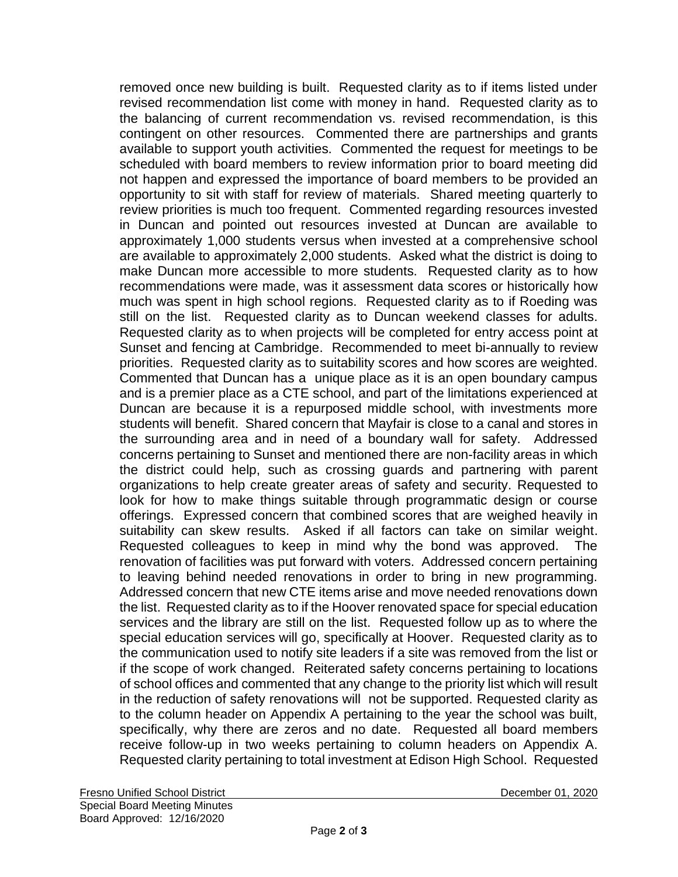removed once new building is built. Requested clarity as to if items listed under revised recommendation list come with money in hand. Requested clarity as to the balancing of current recommendation vs. revised recommendation, is this contingent on other resources. Commented there are partnerships and grants available to support youth activities. Commented the request for meetings to be scheduled with board members to review information prior to board meeting did not happen and expressed the importance of board members to be provided an opportunity to sit with staff for review of materials. Shared meeting quarterly to review priorities is much too frequent. Commented regarding resources invested in Duncan and pointed out resources invested at Duncan are available to approximately 1,000 students versus when invested at a comprehensive school are available to approximately 2,000 students. Asked what the district is doing to make Duncan more accessible to more students. Requested clarity as to how recommendations were made, was it assessment data scores or historically how much was spent in high school regions. Requested clarity as to if Roeding was still on the list. Requested clarity as to Duncan weekend classes for adults. Requested clarity as to when projects will be completed for entry access point at Sunset and fencing at Cambridge. Recommended to meet bi-annually to review priorities. Requested clarity as to suitability scores and how scores are weighted. Commented that Duncan has a unique place as it is an open boundary campus and is a premier place as a CTE school, and part of the limitations experienced at Duncan are because it is a repurposed middle school, with investments more students will benefit. Shared concern that Mayfair is close to a canal and stores in the surrounding area and in need of a boundary wall for safety. Addressed concerns pertaining to Sunset and mentioned there are non-facility areas in which the district could help, such as crossing guards and partnering with parent organizations to help create greater areas of safety and security. Requested to look for how to make things suitable through programmatic design or course offerings. Expressed concern that combined scores that are weighed heavily in suitability can skew results. Asked if all factors can take on similar weight. Requested colleagues to keep in mind why the bond was approved. The renovation of facilities was put forward with voters. Addressed concern pertaining to leaving behind needed renovations in order to bring in new programming. Addressed concern that new CTE items arise and move needed renovations down the list. Requested clarity as to if the Hoover renovated space for special education services and the library are still on the list. Requested follow up as to where the special education services will go, specifically at Hoover. Requested clarity as to the communication used to notify site leaders if a site was removed from the list or if the scope of work changed. Reiterated safety concerns pertaining to locations of school offices and commented that any change to the priority list which will result in the reduction of safety renovations will not be supported. Requested clarity as to the column header on Appendix A pertaining to the year the school was built, specifically, why there are zeros and no date. Requested all board members receive follow-up in two weeks pertaining to column headers on Appendix A. Requested clarity pertaining to total investment at Edison High School. Requested